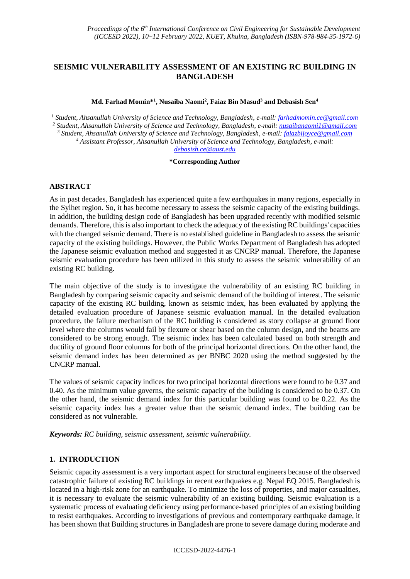# **SEISMIC VULNERABILITY ASSESSMENT OF AN EXISTING RC BUILDING IN BANGLADESH**

**Md. Farhad Momin\*<sup>1</sup> , Nusaiba Naomi<sup>2</sup> , Faiaz Bin Masud<sup>3</sup> and Debasish Sen<sup>4</sup>**

 *Student, Ahsanullah University of Science and Technology, Bangladesh, e-mail: [farhadmomin.ce@gmail.com](mailto:farhadmomin.ce@gmail.com) Student, Ahsanullah University of Science and Technology, Bangladesh, e-mail: [nusaibanaomi1@gmail.com](mailto:nusaibanaomi1@gmail.com) Student, Ahsanullah University of Science and Technology, Bangladesh, e-mail[: faiazbijoyce@gmail.com](mailto:faiazbijoyce@gmail.com) Assistant Professor, Ahsanullah University of Science and Technology, Bangladesh, e-mail: [debasish.ce@aust.edu](mailto:debasish.ce@aust.edu)*

### **\*Corresponding Author**

## **ABSTRACT**

As in past decades, Bangladesh has experienced quite a few earthquakes in many regions, especially in the Sylhet region. So, it has become necessary to assess the seismic capacity of the existing buildings. In addition, the building design code of Bangladesh has been upgraded recently with modified seismic demands. Therefore, this is also important to check the adequacy of the existing RC buildings' capacities with the changed seismic demand. There is no established guideline in Bangladesh to assess the seismic capacity of the existing buildings. However, the Public Works Department of Bangladesh has adopted the Japanese seismic evaluation method and suggested it as CNCRP manual. Therefore, the Japanese seismic evaluation procedure has been utilized in this study to assess the seismic vulnerability of an existing RC building.

The main objective of the study is to investigate the vulnerability of an existing RC building in Bangladesh by comparing seismic capacity and seismic demand of the building of interest. The seismic capacity of the existing RC building, known as seismic index, has been evaluated by applying the detailed evaluation procedure of Japanese seismic evaluation manual. In the detailed evaluation procedure, the failure mechanism of the RC building is considered as story collapse at ground floor level where the columns would fail by flexure or shear based on the column design, and the beams are considered to be strong enough. The seismic index has been calculated based on both strength and ductility of ground floor columns for both of the principal horizontal directions. On the other hand, the seismic demand index has been determined as per BNBC 2020 using the method suggested by the CNCRP manual.

The values of seismic capacity indices for two principal horizontal directions were found to be 0.37 and 0.40. As the minimum value governs, the seismic capacity of the building is considered to be 0.37. On the other hand, the seismic demand index for this particular building was found to be 0.22. As the seismic capacity index has a greater value than the seismic demand index. The building can be considered as not vulnerable.

*Keywords: RC building, seismic assessment, seismic vulnerability.*

# **1. INTRODUCTION**

Seismic capacity assessment is a very important aspect for structural engineers because of the observed catastrophic failure of existing RC buildings in recent earthquakes e.g. Nepal EQ 2015. Bangladesh is located in a high-risk zone for an earthquake. To minimize the loss of properties, and major casualties, it is necessary to evaluate the seismic vulnerability of an existing building. Seismic evaluation is a systematic process of evaluating deficiency using performance-based principles of an existing building to resist earthquakes. According to investigations of previous and contemporary earthquake damage, it has been shown that Building structures in Bangladesh are prone to severe damage during moderate and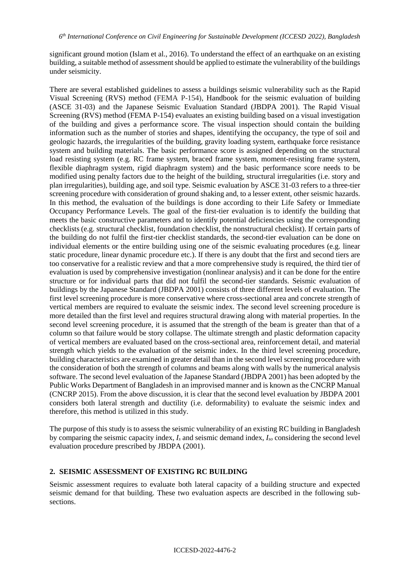significant ground motion (Islam et al., 2016). To understand the effect of an earthquake on an existing building, a suitable method of assessment should be applied to estimate the vulnerability of the buildings under seismicity.

There are several established guidelines to assess a buildings seismic vulnerability such as the Rapid Visual Screening (RVS) method (FEMA P-154), Handbook for the seismic evaluation of building (ASCE 31-03) and the Japanese Seismic Evaluation Standard (JBDPA 2001). The Rapid Visual Screening (RVS) method (FEMA P-154) evaluates an existing building based on a visual investigation of the building and gives a performance score. The visual inspection should contain the building information such as the number of stories and shapes, identifying the occupancy, the type of soil and geologic hazards, the irregularities of the building, gravity loading system, earthquake force resistance system and building materials. The basic performance score is assigned depending on the structural load resisting system (e.g. RC frame system, braced frame system, moment-resisting frame system, flexible diaphragm system, rigid diaphragm system) and the basic performance score needs to be modified using penalty factors due to the height of the building, structural irregularities (i.e. story and plan irregularities), building age, and soil type. Seismic evaluation by ASCE 31-03 refers to a three-tier screening procedure with consideration of ground shaking and, to a lesser extent, other seismic hazards. In this method, the evaluation of the buildings is done according to their Life Safety or Immediate Occupancy Performance Levels. The goal of the first-tier evaluation is to identify the building that meets the basic constructive parameters and to identify potential deficiencies using the corresponding checklists (e.g. structural checklist, foundation checklist, the nonstructural checklist). If certain parts of the building do not fulfil the first-tier checklist standards, the second-tier evaluation can be done on individual elements or the entire building using one of the seismic evaluating procedures (e.g. linear static procedure, linear dynamic procedure etc.). If there is any doubt that the first and second tiers are too conservative for a realistic review and that a more comprehensive study is required, the third tier of evaluation is used by comprehensive investigation (nonlinear analysis) and it can be done for the entire structure or for individual parts that did not fulfil the second-tier standards. Seismic evaluation of buildings by the Japanese Standard (JBDPA 2001) consists of three different levels of evaluation. The first level screening procedure is more conservative where cross-sectional area and concrete strength of vertical members are required to evaluate the seismic index. The second level screening procedure is more detailed than the first level and requires structural drawing along with material properties. In the second level screening procedure, it is assumed that the strength of the beam is greater than that of a column so that failure would be story collapse. The ultimate strength and plastic deformation capacity of vertical members are evaluated based on the cross-sectional area, reinforcement detail, and material strength which yields to the evaluation of the seismic index. In the third level screening procedure, building characteristics are examined in greater detail than in the second level screening procedure with the consideration of both the strength of columns and beams along with walls by the numerical analysis software. The second level evaluation of the Japanese Standard (JBDPA 2001) has been adopted by the Public Works Department of Bangladesh in an improvised manner and is known as the CNCRP Manual (CNCRP 2015). From the above discussion, it is clear that the second level evaluation by JBDPA 2001 considers both lateral strength and ductility (i.e. deformability) to evaluate the seismic index and therefore, this method is utilized in this study.

The purpose of this study is to assess the seismic vulnerability of an existing RC building in Bangladesh by comparing the seismic capacity index, *I<sup>s</sup>* and seismic demand index, *Iso* considering the second level evaluation procedure prescribed by JBDPA (2001).

## **2. SEISMIC ASSESSMENT OF EXISTING RC BUILDING**

Seismic assessment requires to evaluate both lateral capacity of a building structure and expected seismic demand for that building. These two evaluation aspects are described in the following subsections.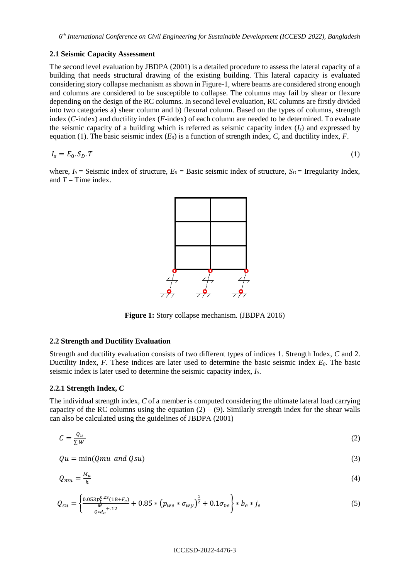## **2.1 Seismic Capacity Assessment**

The second level evaluation by JBDPA (2001) is a detailed procedure to assess the lateral capacity of a building that needs structural drawing of the existing building. This lateral capacity is evaluated considering story collapse mechanism as shown in Figure-1, where beams are considered strong enough and columns are considered to be susceptible to collapse. The columns may fail by shear or flexure depending on the design of the RC columns. In second level evaluation, RC columns are firstly divided into two categories a) shear column and b) flexural column. Based on the types of columns, strength index (*C*-index) and ductility index (*F*-index) of each column are needed to be determined. To evaluate the seismic capacity of a building which is referred as seismic capacity index (*Is*) and expressed by equation (1). The basic seismic index (*E0*) is a function of strength index, *C*, and ductility index, *F*.

$$
I_s = E_0.S_D.T \tag{1}
$$

where,  $I_s$  = Seismic index of structure,  $E_0$  = Basic seismic index of structure,  $S_p$  = Irregularity Index, and  $T =$  Time index.



**Figure 1:** Story collapse mechanism. (JBDPA 2016)

### **2.2 Strength and Ductility Evaluation**

Strength and ductility evaluation consists of two different types of indices 1. Strength Index, *C* and 2. Ductility Index, *F*. These indices are later used to determine the basic seismic index *E0*. The basic seismic index is later used to determine the seismic capacity index, *IS*.

## **2.2.1 Strength Index,** *C*

The individual strength index, *C* of a member is computed considering the ultimate lateral load carrying capacity of the RC columns using the equation  $(2) - (9)$ . Similarly strength index for the shear walls can also be calculated using the guidelines of JBDPA (2001)

$$
C = \frac{Q_u}{\Sigma W} \tag{2}
$$

$$
Qu = \min(Qmu \ and \ Qsu) \tag{3}
$$

$$
Q_{mu} = \frac{M_u}{h} \tag{4}
$$

$$
Q_{su} = \left\{ \frac{0.053p_t^{0.23}(18+F_c)}{\frac{M}{Q*d_e} + .12} + 0.85 * \left(p_{we} * \sigma_{wy}\right)^{\frac{1}{2}} + 0.1 \sigma_{0e} \right\} * b_e * j_e \tag{5}
$$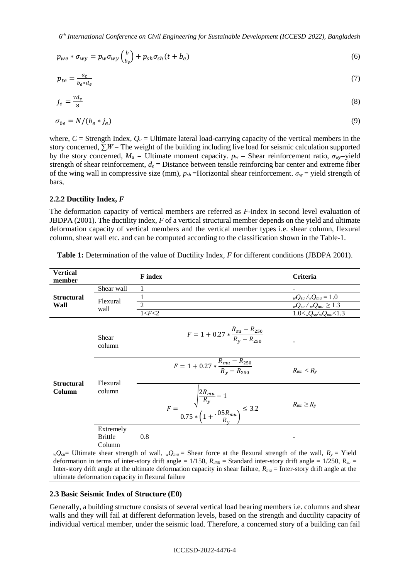$$
p_{we} * \sigma_{wy} = p_w \sigma_{wy} \left(\frac{b}{b_e}\right) + p_{sh} \sigma_{sh} (t + b_e)
$$
\n<sup>(6)</sup>

$$
p_{te} = \frac{a_t}{b_e * d_e} \tag{7}
$$

$$
j_e = \frac{7d_e}{8} \tag{8}
$$

$$
\sigma_{0e} = N/(b_e * j_e) \tag{9}
$$

where,  $C =$  Strength Index,  $Q_u =$  Ultimate lateral load-carrying capacity of the vertical members in the story concerned,  $\sum W =$ The weight of the building including live load for seismic calculation supported by the story concerned,  $M_u$  = Ultimate moment capacity.  $p_w$  = Shear reinforcement ratio,  $\sigma_{wv}$ =vield strength of shear reinforcement,  $d_e$  = Distance between tensile reinforcing bar center and extreme fiber of the wing wall in compressive size (mm),  $p_{sh}$ =Horizontal shear reinforcement.  $\sigma_{sv}$  = yield strength of bars,

## **2.2.2 Ductility Index,** *F*

The deformation capacity of vertical members are referred as *F*-index in second level evaluation of JBDPA (2001). The ductility index, *F* of a vertical structural member depends on the yield and ultimate deformation capacity of vertical members and the vertical member types i.e. shear column, flexural column, shear wall etc. and can be computed according to the classification shown in the Table-1.

| <b>Vertical</b><br>member   |                                       | <b>F</b> index                                                                                                                        | Criteria                             |
|-----------------------------|---------------------------------------|---------------------------------------------------------------------------------------------------------------------------------------|--------------------------------------|
|                             | Shear wall                            |                                                                                                                                       | -                                    |
| <b>Structural</b>           | Flexural                              |                                                                                                                                       | $_{w}Q_{su}/_{w}Q_{mu}=1.0$          |
| Wall                        | wall                                  | $\overline{2}$                                                                                                                        | $_{w}Q_{su}$ / $_{w}Q_{mu} \geq 1.3$ |
|                             |                                       | 1 < F < 2                                                                                                                             | $1.0 < wQ_{su}/wQ_{mu} < 1.3$        |
|                             |                                       |                                                                                                                                       |                                      |
|                             | Shear<br>column                       | $F = 1 + 0.27 * \frac{R_{su} - R_{250}}{R_v - R_{250}}$                                                                               |                                      |
| <b>Structural</b><br>Column | Flexural<br>column                    | $F = 1 + 0.27 * \frac{R_{mu} - R_{250}}{R_v - R_{250}}$                                                                               | $R_{mn} < R_{y}$                     |
|                             |                                       | $F = \frac{\sqrt{\frac{2R_{mu}}{R_y} - 1}}{0.75 * \left(1 + \frac{.05R_{mu}}{R_v}\right)} \leq 3.2$                                   | $R_{mn} \geq R_{y}$                  |
|                             | Extremely<br><b>Brittle</b><br>Column | 0.8<br>$Q = \text{Illtimate}$ shoot strength of well $Q = \text{Choor force}$ at the flexurel strength of the well $R = \text{Vield}$ |                                      |

Table 1: Determination of the value of Ductility Index, *F* for different conditions (JBDPA 2001).

*wQ*<sub>*su*</sub>= Ultimate shear strength of wall, *wQ*<sub>*mu*</sub> = Shear force at the flexural strength of the wall,  $R_y$  = Yield deformation in terms of inter-story drift angle =  $1/150$ ,  $R_{250}$  = Standard inter-story drift angle =  $1/250$ ,  $R_{su}$  = Inter-story drift angle at the ultimate deformation capacity in shear failure, *Rmu* = Inter-story drift angle at the ultimate deformation capacity in flexural failure

### **2.3 Basic Seismic Index of Structure (E0)**

Generally, a building structure consists of several vertical load bearing members i.e. columns and shear walls and they will fail at different deformation levels, based on the strength and ductility capacity of individual vertical member, under the seismic load. Therefore, a concerned story of a building can fail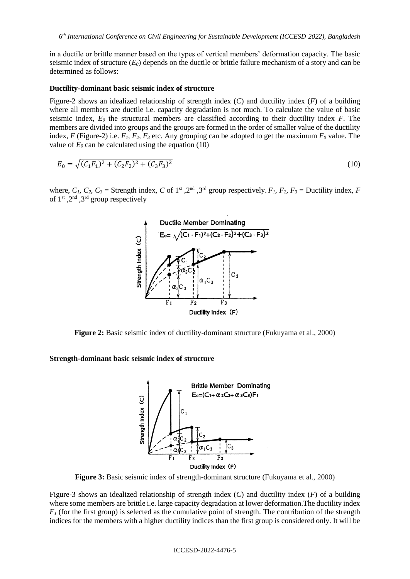in a ductile or brittle manner based on the types of vertical members' deformation capacity. The basic seismic index of structure (*E0*) depends on the ductile or brittle failure mechanism of a story and can be determined as follows:

#### **Ductility-dominant basic seismic index of structure**

Figure-2 shows an idealized relationship of strength index (*C*) and ductility index (*F*) of a building where all members are ductile i.e. capacity degradation is not much. To calculate the value of basic seismic index, *E<sup>0</sup>* the structural members are classified according to their ductility index *F*. The members are divided into groups and the groups are formed in the order of smaller value of the ductility index, *F* (Figure-2) i.e.  $F_1$ ,  $F_2$ ,  $F_3$  etc. Any grouping can be adopted to get the maximum  $E_0$  value. The value of  $E_0$  can be calculated using the equation (10)

$$
E_0 = \sqrt{(C_1 F_1)^2 + (C_2 F_2)^2 + (C_3 F_3)^2}
$$
\n(10)

where,  $C_1$ ,  $C_2$ ,  $C_3$  = Strength index,  $C$  of 1<sup>st</sup>, 2<sup>nd</sup>, 3<sup>rd</sup> group respectively.  $F_1$ ,  $F_2$ ,  $F_3$  = Ductility index,  $F_1$ of  $1<sup>st</sup>$ ,  $2<sup>nd</sup>$ ,  $3<sup>rd</sup>$  group respectively



**Figure 2:** Basic seismic index of ductility-dominant structure (Fukuyama et al., 2000)

**Strength-dominant basic seismic index of structure** 



**Figure 3:** Basic seismic index of strength-dominant structure (Fukuyama et al., 2000)

Figure-3 shows an idealized relationship of strength index (*C*) and ductility index (*F*) of a building where some members are brittle i.e. large capacity degradation at lower deformation.The ductility index  $F_I$  (for the first group) is selected as the cumulative point of strength. The contribution of the strength indices for the members with a higher ductility indices than the first group is considered only. It will be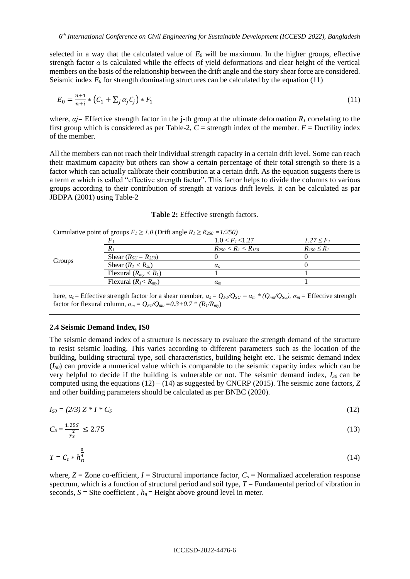selected in a way that the calculated value of  $E_0$  will be maximum. In the higher groups, effective strength factor  $\alpha$  is calculated while the effects of yield deformations and clear height of the vertical members on the basis of the relationship between the drift angle and the story shear force are considered. Seismic index  $E_0$  for strength dominating structures can be calculated by the equation (11)

$$
E_0 = \frac{n+1}{n+i} * (C_1 + \sum_j \alpha_j C_j) * F_1
$$
\n(11)

where,  $\alpha j$ = Effective strength factor in the j-th group at the ultimate deformation  $R_l$  correlating to the first group which is considered as per Table-2,  $C =$  strength index of the member.  $F =$  Ductility index of the member.

All the members can not reach their individual strength capacity in a certain drift level. Some can reach their maximum capacity but others can show a certain percentage of their total strength so there is a factor which can actually calibrate their contribution at a certain drift. As the equation suggests there is a term *α* which is called "effective strength factor". This factor helps to divide the columns to various groups according to their contribution of strength at various drift levels. It can be calculated as par JBDPA (2001) using Table-2

|        | Cumulative point of groups $F_1 \ge 1.0$ (Drift angle $R_1 \ge R_{250} = 1/250$ ) |                             |                 |  |
|--------|-----------------------------------------------------------------------------------|-----------------------------|-----------------|--|
| Groups |                                                                                   | 1.0 < F <sub>1</sub> < 1.27 | $1.27 \le F_1$  |  |
|        |                                                                                   | $R_{250} < R_1 < R_{150}$   | $R_{150} < R_1$ |  |
|        | Shear $(R_{SU} = R_{250})$                                                        |                             |                 |  |
|        | Shear $(R_I < R_{su})$                                                            | $\alpha_{s}$                |                 |  |
|        | Flexural $(R_{mv} < R_1)$                                                         |                             |                 |  |
|        | Flexural $(R_{l} < R_{mv})$                                                       | $\alpha_m$                  |                 |  |

**Table 2:** Effective strength factors.

here,  $\alpha_s$  = Effective strength factor for a shear member,  $\alpha_s = Q_{FI}/Q_{SU} = \alpha_m * (Q_{mu}/Q_{SU})$ ,  $\alpha_m$  = Effective strength factor for flexural column,  $\alpha_m = Q_{F1}/Q_{mu} = 0.3 + 0.7 * (R_1/R_{my})$ 

#### **2.4 Seismic Demand Index, IS0**

The seismic demand index of a structure is necessary to evaluate the strength demand of the structure to resist seismic loading. This varies according to different parameters such as the location of the building, building structural type, soil characteristics, building height etc. The seismic demand index (*IS0*) can provide a numerical value which is comparable to the seismic capacity index which can be very helpful to decide if the building is vulnerable or not. The seismic demand index, *IS0* can be computed using the equations  $(12) - (14)$  as suggested by CNCRP (2015). The seismic zone factors, *Z* and other building parameters should be calculated as per BNBC (2020).

$$
I_{S0} = (2/3) Z * I * C_S \tag{12}
$$

$$
C_S = \frac{1.25S}{T^3} \le 2.75\tag{13}
$$

$$
T = C_t * h_n^{\frac{3}{4}}
$$
 (14)

where,  $Z = Z$  one co-efficient,  $I =$  Structural importance factor,  $C_s =$  Normalized acceleration response spectrum, which is a function of structural period and soil type, *T* = Fundamental period of vibration in seconds,  $S =$  Site coefficient,  $h_n =$  Height above ground level in meter.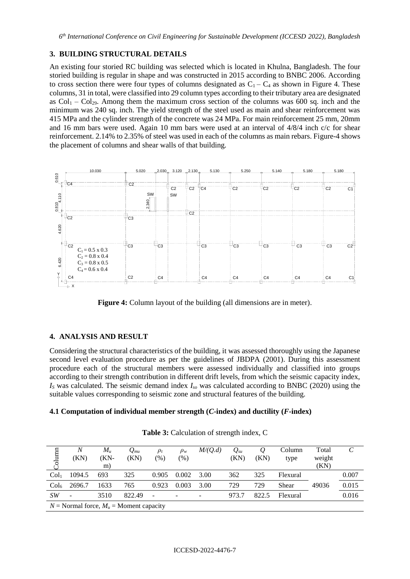## **3. BUILDING STRUCTURAL DETAILS**

An existing four storied RC building was selected which is located in Khulna, Bangladesh. The four storied building is regular in shape and was constructed in 2015 according to BNBC 2006. According to cross section there were four types of columns designated as  $C_1 - C_4$  as shown in Figure 4. These columns, 31 in total, were classified into 29 column types according to their tributary area are designated as  $Col_1 - Col_{29}$ . Among them the maximum cross section of the columns was 600 sq. inch and the minimum was 240 sq. inch. The yield strength of the steel used as main and shear reinforcement was 415 MPa and the cylinder strength of the concrete was 24 MPa. For main reinforcement 25 mm, 20mm and 16 mm bars were used. Again 10 mm bars were used at an interval of 4/8/4 inch c/c for shear reinforcement. 2.14% to 2.35% of steel was used in each of the columns as main rebars. Figure-4 shows the placement of columns and shear walls of that building.



**Figure 4:** Column layout of the building (all dimensions are in meter).

## **4. ANALYSIS AND RESULT**

Considering the structural characteristics of the building, it was assessed thoroughly using the Japanese second level evaluation procedure as per the guidelines of JBDPA (2001). During this assessment procedure each of the structural members were assessed individually and classified into groups according to their strength contribution in different drift levels, from which the seismic capacity index, *I<sup>S</sup>* was calculated. The seismic demand index *Iso* was calculated according to BNBC (2020) using the suitable values corresponding to seismic zone and structural features of the building.

## **4.1 Computation of individual member strength (***C***-index) and ductility (***F***-index)**

| Column           | N<br>(KN)                                   | $M_{\mu}$<br>(KN-<br>m) | $Q_{mu}$<br>(KN) | $\rho_t$<br>$(\%)$ | $\rho_w$<br>$(\% )$ | M/(Q.d) | $Q_{su}$<br>(KN) | Q<br>(KN) | Column<br>type | Total<br>weight<br>(KN) |       |
|------------------|---------------------------------------------|-------------------------|------------------|--------------------|---------------------|---------|------------------|-----------|----------------|-------------------------|-------|
| Col <sub>1</sub> | 1094.5                                      | 693                     | 325              | 0.905              | 0.002               | 3.00    | 362              | 325       | Flexural       |                         | 0.007 |
| Col <sub>6</sub> | 2696.7                                      | 1633                    | 765              | 0.923              | 0.003               | 3.00    | 729              | 729       | Shear          | 49036                   | 0.015 |
| SW <sub></sub>   |                                             | 3510                    | 822.49           |                    | ٠                   |         | 973.7            | 822.5     | Flexural       |                         | 0.016 |
|                  | $N =$ Normal force, $M_u =$ Moment capacity |                         |                  |                    |                     |         |                  |           |                |                         |       |

**Table 3:** Calculation of strength index, C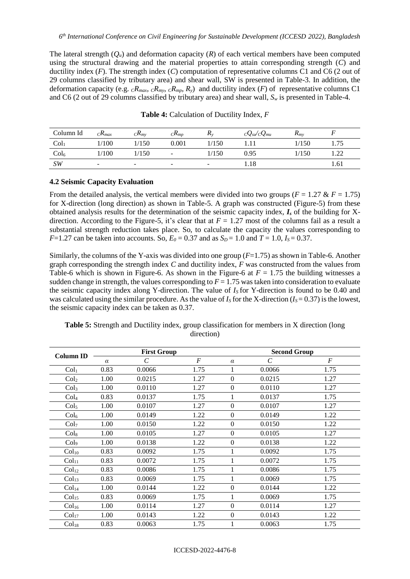The lateral strength (*Qu*) and deformation capacity (*R*) of each vertical members have been computed using the structural drawing and the material properties to attain corresponding strength (*C*) and ductility index (*F*). The strength index (*C*) computation of representative columns C1 and C6 (2 out of 29 columns classified by tributary area) and shear wall, SW is presented in Table-3. In addition, the deformation capacity (e.g.  $cR_{max}$ ,  $cR_{mn}$ ,  $cR_{mp}$ ,  $R_y$ ) and ductility index (*F*) of representative columns C1 and C6 (2 out of 29 columns classified by tributary area) and shear wall, *S<sup>w</sup>* is presented in Table-4.

| Column Id        | ${}_{C}\!R_{max}$        | $\mathcal{L}$ K <sub>mv</sub> | $C\mathbf{\Lambda}_{MD}$ | $\mathbf{A}$             | $c\mathcal{Q}_{\mathit{su}}/c\mathcal{Q}_{\mathit{mu}}$ | $\mathbf{r}_{mv}$ |      |
|------------------|--------------------------|-------------------------------|--------------------------|--------------------------|---------------------------------------------------------|-------------------|------|
| Col <sub>1</sub> | 1/100                    | 1/150                         | 0.001                    | 1/150                    |                                                         | 1/150             | 1.75 |
| Col <sub>6</sub> | 1/100                    | 1/150                         | $\overline{\phantom{0}}$ | 1/150                    | 0.95                                                    | 1/150             | .22  |
| SW               | $\overline{\phantom{a}}$ | -                             | $\overline{\phantom{a}}$ | $\overline{\phantom{0}}$ | 1.18                                                    |                   | 1.61 |

**Table 4:** Calculation of Ductility Index, *F*

## **4.2 Seismic Capacity Evaluation**

From the detailed analysis, the vertical members were divided into two groups ( $F = 1.27 \& F = 1.75$ ) for X-direction (long direction) as shown in Table-5. A graph was constructed (Figure-5) from these obtained analysis results for the determination of the seismic capacity index, *I<sup>s</sup>* of the building for Xdirection. According to the Figure-5, it's clear that at  $F = 1.27$  most of the columns fail as a result a substantial strength reduction takes place. So, to calculate the capacity the values corresponding to *F*=1.27 can be taken into accounts. So,  $E_0 = 0.37$  and as  $S_p = 1.0$  and  $T = 1.0$ ,  $I_s = 0.37$ .

Similarly, the columns of the Y-axis was divided into one group (*F*=1.75) as shown in Table-6. Another graph corresponding the strength index *C* and ductility index, *F* was constructed from the values from Table-6 which is shown in Figure-6. As shown in the Figure-6 at  $F = 1.75$  the building witnesses a sudden change in strength, the values corresponding to  $F = 1.75$  was taken into consideration to evaluate the seismic capacity index along Y-direction. The value of  $I<sub>S</sub>$  for Y-direction is found to be 0.40 and was calculated using the similar procedure. As the value of  $I_s$  for the X-direction ( $I_s = 0.37$ ) is the lowest, the seismic capacity index can be taken as 0.37.

| <b>Column ID</b>  | <b>First Group</b> |                       |                |                  | <b>Second Group</b>   |                |  |  |
|-------------------|--------------------|-----------------------|----------------|------------------|-----------------------|----------------|--|--|
|                   | $\alpha$           | $\mathcal{C}_{0}^{0}$ | $\overline{F}$ | $\alpha$         | $\mathcal{C}_{0}^{0}$ | $\overline{F}$ |  |  |
| Col <sub>1</sub>  | 0.83               | 0.0066                | 1.75           |                  | 0.0066                | 1.75           |  |  |
| Col <sub>2</sub>  | 1.00               | 0.0215                | 1.27           | $\boldsymbol{0}$ | 0.0215                | 1.27           |  |  |
| Col <sub>3</sub>  | 1.00               | 0.0110                | 1.27           | $\boldsymbol{0}$ | 0.0110                | 1.27           |  |  |
| Col <sub>4</sub>  | 0.83               | 0.0137                | 1.75           | 1                | 0.0137                | 1.75           |  |  |
| Col <sub>5</sub>  | 1.00               | 0.0107                | 1.27           | $\boldsymbol{0}$ | 0.0107                | 1.27           |  |  |
| Col <sub>6</sub>  | 1.00               | 0.0149                | 1.22           | $\mathbf{0}$     | 0.0149                | 1.22           |  |  |
| Col <sub>7</sub>  | 1.00               | 0.0150                | 1.22           | $\boldsymbol{0}$ | 0.0150                | 1.22           |  |  |
| Col <sub>8</sub>  | 1.00               | 0.0105                | 1.27           | $\boldsymbol{0}$ | 0.0105                | 1.27           |  |  |
| Col <sub>9</sub>  | 1.00               | 0.0138                | 1.22           | $\boldsymbol{0}$ | 0.0138                | 1.22           |  |  |
| Col <sub>10</sub> | 0.83               | 0.0092                | 1.75           | 1                | 0.0092                | 1.75           |  |  |
| Col <sub>11</sub> | 0.83               | 0.0072                | 1.75           |                  | 0.0072                | 1.75           |  |  |
| Col <sub>12</sub> | 0.83               | 0.0086                | 1.75           |                  | 0.0086                | 1.75           |  |  |
| Col <sub>13</sub> | 0.83               | 0.0069                | 1.75           |                  | 0.0069                | 1.75           |  |  |
| Col <sub>14</sub> | 1.00               | 0.0144                | 1.22           | $\boldsymbol{0}$ | 0.0144                | 1.22           |  |  |
| Col <sub>15</sub> | 0.83               | 0.0069                | 1.75           |                  | 0.0069                | 1.75           |  |  |
| Col <sub>16</sub> | 1.00               | 0.0114                | 1.27           | $\boldsymbol{0}$ | 0.0114                | 1.27           |  |  |
| Col <sub>17</sub> | 1.00               | 0.0143                | 1.22           | $\boldsymbol{0}$ | 0.0143                | 1.22           |  |  |
| Col <sub>18</sub> | 0.83               | 0.0063                | 1.75           |                  | 0.0063                | 1.75           |  |  |

**Table 5:** Strength and Ductility index, group classification for members in X direction (long direction)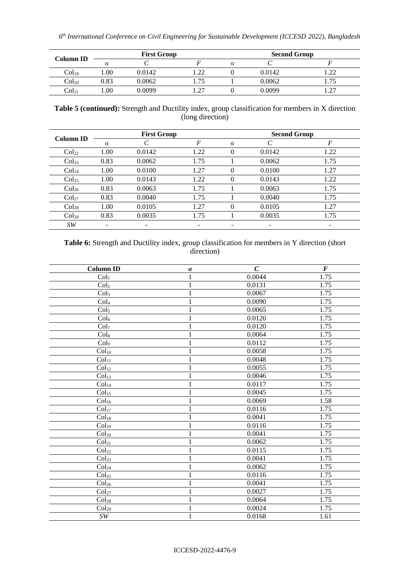| Column ID         | <b>First Group</b> |        |     | <b>Second Group</b> |        |    |  |
|-------------------|--------------------|--------|-----|---------------------|--------|----|--|
|                   |                    |        |     |                     |        |    |  |
| Col <sub>19</sub> | .00                | 0.0142 | ാറ  |                     | 0.0142 | nη |  |
| Col <sub>20</sub> | 0.83               | 0.0062 | .75 |                     | 0.0062 |    |  |
| Col21             | .00                | 0.0099 | .27 |                     | 0.0099 | רר |  |

**Table 5 (continued):** Strength and Ductility index, group classification for members in X direction (long direction)

| <b>Column ID</b>  |          | <b>First Group</b> |      | <b>Second Group</b> |        |      |  |
|-------------------|----------|--------------------|------|---------------------|--------|------|--|
|                   | $\alpha$ |                    | F    | $\alpha$            |        | F    |  |
| Col <sub>22</sub> | 1.00     | 0.0142             | 1.22 | 0                   | 0.0142 | 1.22 |  |
| Col <sub>23</sub> | 0.83     | 0.0062             | 1.75 |                     | 0.0062 | 1.75 |  |
| Col <sub>24</sub> | 1.00     | 0.0100             | 1.27 | $\theta$            | 0.0100 | 1.27 |  |
| Col <sub>25</sub> | 1.00     | 0.0143             | 1.22 | 0                   | 0.0143 | 1.22 |  |
| Col <sub>26</sub> | 0.83     | 0.0063             | 1.75 |                     | 0.0063 | 1.75 |  |
| Col <sub>27</sub> | 0.83     | 0.0040             | 1.75 |                     | 0.0040 | 1.75 |  |
| Col <sub>28</sub> | 1.00     | 0.0105             | 1.27 | $\theta$            | 0.0105 | 1.27 |  |
| Col <sub>29</sub> | 0.83     | 0.0035             | 1.75 |                     | 0.0035 | 1.75 |  |
| SW                |          | -                  |      |                     | -      | -    |  |

# **Table 6:** Strength and Ductility index, group classification for members in Y direction (short direction)

| <b>Column ID</b>          | $\pmb{\alpha}$ | $\boldsymbol{C}$ | $\bm{F}$ |
|---------------------------|----------------|------------------|----------|
| Col <sub>1</sub>          | 1              | 0.0044           | 1.75     |
| $\overline{\text{Col}_2}$ | 1              | 0.0131           | 1.75     |
| Col <sub>3</sub>          | 1              | 0.0067           | 1.75     |
| Col <sub>4</sub>          | 1              | 0.0090           | 1.75     |
| Col <sub>5</sub>          | $\mathbf 1$    | 0.0065           | 1.75     |
| Col <sub>6</sub>          | 1              | 0.0120           | 1.75     |
| Col <sub>7</sub>          | 1              | 0.0120           | 1.75     |
| Col <sub>8</sub>          | 1              | 0.0064           | 1.75     |
| Col9                      | 1              | 0.0112           | 1.75     |
| Col <sub>10</sub>         | 1              | 0.0058           | 1.75     |
| Col <sub>11</sub>         | 1              | 0.0048           | 1.75     |
| Col <sub>12</sub>         | 1              | 0.0055           | 1.75     |
| Col <sub>13</sub>         | 1              | 0.0046           | 1.75     |
| Col <sub>14</sub>         | 1              | 0.0117           | 1.75     |
| Col <sub>15</sub>         | 1              | 0.0045           | 1.75     |
| Col <sub>16</sub>         | 1              | 0.0069           | 1.58     |
| Col <sub>17</sub>         | 1              | 0.0116           | 1.75     |
| Col <sub>18</sub>         | 1              | 0.0041           | 1.75     |
| Col <sub>19</sub>         | 1              | 0.0116           | 1.75     |
| Col <sub>20</sub>         | 1              | 0.0041           | 1.75     |
| Col <sub>21</sub>         | 1              | 0.0062           | 1.75     |
| Col <sub>22</sub>         | 1              | 0.0115           | 1.75     |
| Col <sub>23</sub>         | 1              | 0.0041           | 1.75     |
| Col <sub>24</sub>         | 1              | 0.0062           | 1.75     |
| Col <sub>25</sub>         | 1              | 0.0116           | 1.75     |
| Col <sub>26</sub>         | 1              | 0.0041           | 1.75     |
| Col <sub>27</sub>         | 1              | 0.0027           | 1.75     |
| Col <sub>28</sub>         | 1              | 0.0064           | 1.75     |
| Col <sub>29</sub>         | 1              | 0.0024           | 1.75     |
| $\cal{SW}$                | $\mathbf{1}$   | 0.0168           | 1.61     |
|                           |                |                  |          |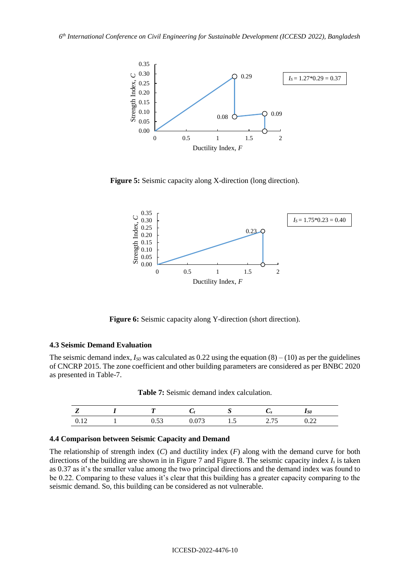

**Figure 5:** Seismic capacity along X-direction (long direction).



**Figure 6:** Seismic capacity along Y-direction (short direction).

### **4.3 Seismic Demand Evaluation**

The seismic demand index,  $I_{\text{S0}}$  was calculated as 0.22 using the equation  $(8) - (10)$  as per the guidelines of CNCRP 2015. The zone coefficient and other building parameters are considered as per BNBC 2020 as presented in Table-7.

|  | <b>Table 7:</b> Seismic demand index calculation. |
|--|---------------------------------------------------|
|--|---------------------------------------------------|

| -     |               |          | ັ   | ັ             | $\alpha$<br>150         |  |
|-------|---------------|----------|-----|---------------|-------------------------|--|
| v. 12 | $\sim$<br>∪.∪ | ້<br>v.v | 1.J | --<br>ر ، ، ب | $\mathsf{v}.\mathsf{u}$ |  |

### **4.4 Comparison between Seismic Capacity and Demand**

The relationship of strength index (*C*) and ductility index (*F*) along with the demand curve for both directions of the building are shown in in Figure 7 and Figure 8. The seismic capacity index *I<sup>s</sup>* is taken as 0.37 as it's the smaller value among the two principal directions and the demand index was found to be 0.22. Comparing to these values it's clear that this building has a greater capacity comparing to the seismic demand. So, this building can be considered as not vulnerable.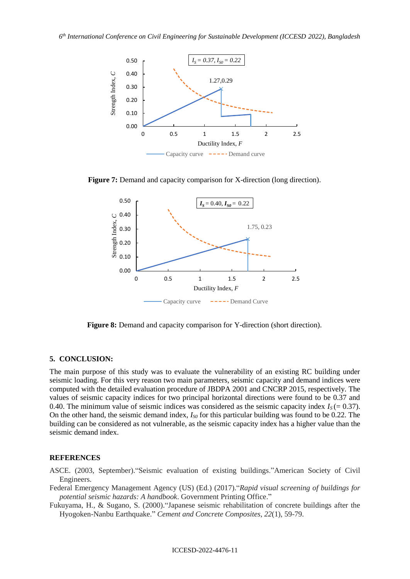

**Figure 7:** Demand and capacity comparison for X-direction (long direction).



**Figure 8:** Demand and capacity comparison for Y-direction (short direction).

#### **5. CONCLUSION:**

The main purpose of this study was to evaluate the vulnerability of an existing RC building under seismic loading. For this very reason two main parameters, seismic capacity and demand indices were computed with the detailed evaluation procedure of JBDPA 2001 and CNCRP 2015, respectively. The values of seismic capacity indices for two principal horizontal directions were found to be 0.37 and 0.40. The minimum value of seismic indices was considered as the seismic capacity index  $I<sub>S</sub> (= 0.37)$ . On the other hand, the seismic demand index, *IS0* for this particular building was found to be 0.22. The building can be considered as not vulnerable, as the seismic capacity index has a higher value than the seismic demand index.

### **REFERENCES**

- ASCE. (2003, September)."Seismic evaluation of existing buildings."American Society of Civil Engineers.
- Federal Emergency Management Agency (US) (Ed.) (2017)."*Rapid visual screening of buildings for potential seismic hazards: A handbook*. Government Printing Office."
- Fukuyama, H., & Sugano, S. (2000)."Japanese seismic rehabilitation of concrete buildings after the Hyogoken-Nanbu Earthquake." *Cement and Concrete Composites*, *22*(1), 59-79.